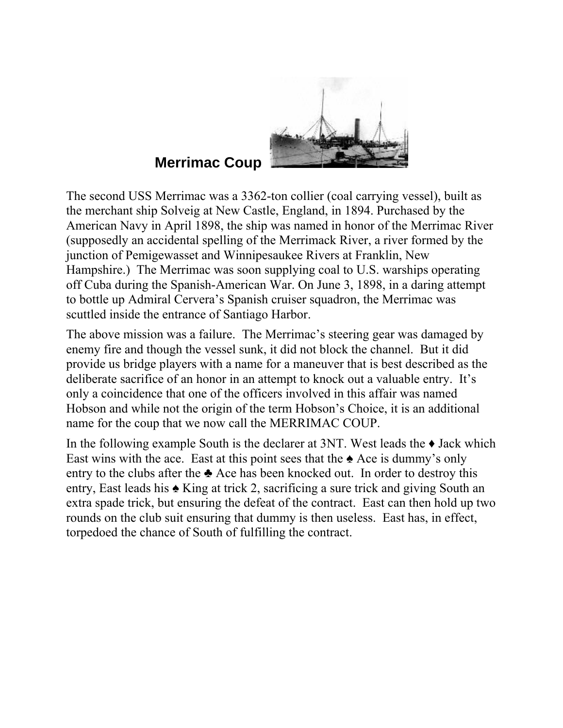

## **Merrimac Coup**

The second USS Merrimac was a 3362-ton collier (coal carrying vessel), built as the merchant ship Solveig at New Castle, England, in 1894. Purchased by the American Navy in April 1898, the ship was named in honor of the [Merrimac River](http://en.wikipedia.org/wiki/Merrimack_River) (supposedly an accidental spelling of the [Merrimack River](http://en.wikipedia.org/wiki/Merrimac_River), a river formed by the junction of [Pemigewasset](http://en.wikipedia.org/wiki/Pemigewasset_River) and [Winnipesaukee Rivers](http://en.wikipedia.org/wiki/Winnipesaukee_River) at [Franklin, New](http://en.wikipedia.org/wiki/Franklin%2C_New_Hampshire)  [Hampshire](http://en.wikipedia.org/wiki/Franklin%2C_New_Hampshire).) The Merrimac was soon supplying coal to U.S. warships operating off Cuba during the Spanish-American War. On June 3, 1898, in a daring attempt to bottle up Admiral Cervera's Spanish cruiser squadron, the Merrimac was scuttled inside the entrance of Santiago Harbor.

The above mission was a failure. The Merrimac's steering gear was damaged by enemy fire and though the vessel sunk, it did not block the channel. But it did provide us bridge players with a name for a maneuver that is best described as the deliberate sacrifice of an honor in an attempt to knock out a valuable entry. It's only a coincidence that one of the officers involved in this affair was named Hobson and while not the origin of the term Hobson's Choice, it is an additional name for the coup that we now call the MERRIMAC COUP.

In the following example South is the declarer at  $3NT$ . West leads the  $\blacklozenge$  Jack which East wins with the ace. East at this point sees that the  $\triangle$  Ace is dummy's only entry to the clubs after the  $\triangle$  Ace has been knocked out. In order to destroy this entry, East leads his ♠ King at trick 2, sacrificing a sure trick and giving South an extra spade trick, but ensuring the defeat of the contract. East can then hold up two rounds on the club suit ensuring that dummy is then useless. East has, in effect, torpedoed the chance of South of fulfilling the contract.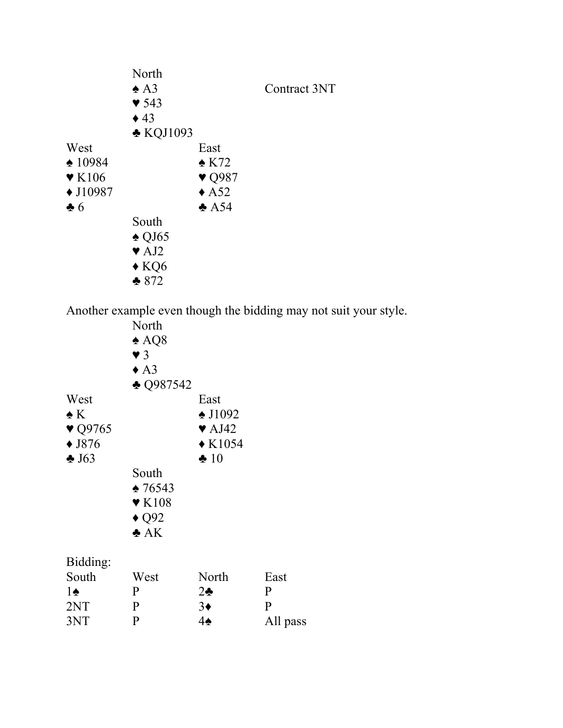|                           | North                    |                           |              |
|---------------------------|--------------------------|---------------------------|--------------|
|                           | $\triangle$ A3           |                           | Contract 3NT |
|                           | $\blacktriangledown$ 543 |                           |              |
|                           | $\triangle$ 43           |                           |              |
|                           | $\triangle$ KQJ1093      |                           |              |
| West                      |                          | East                      |              |
| $\spadesuit$ 10984        |                          | $\triangle$ K72           |              |
| $\blacktriangledown$ K106 |                          | $\blacktriangledown$ Q987 |              |
| $\triangle$ J10987        |                          | $\triangle$ A52           |              |
| $\clubsuit 6$             |                          | $\triangle$ A54           |              |
|                           | South                    |                           |              |
|                           | $\triangle$ QJ65         |                           |              |
|                           | $\blacktriangledown$ AJ2 |                           |              |
|                           | $\triangle$ KQ6          |                           |              |
|                           | $*872$                   |                           |              |

Another example even though the bidding may not suit your style.